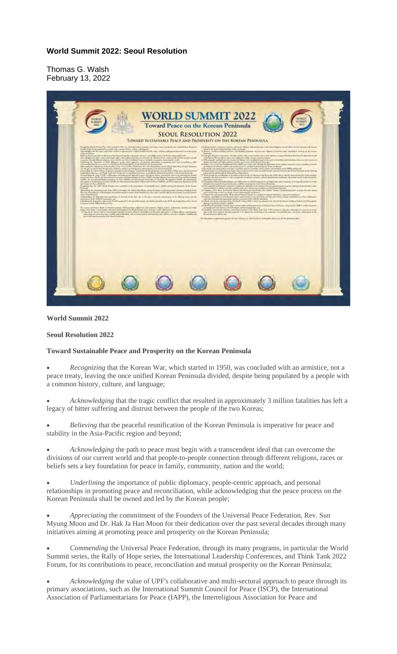## **World Summit 2022: Seoul Resolution**

Thomas G. Walsh February 13, 2022



## **World Summit 2022**

## **Seoul Resolution 2022**

## **Toward Sustainable Peace and Prosperity on the Korean Peninsula**

• *Recognizing* that the Korean War, which started in 1950, was concluded with an armistice, not a peace treaty, leaving the once unified Korean Peninsula divided, despite being populated by a people with a common history, culture, and language;

• *Acknowledging* that the tragic conflict that resulted in approximately 3 million fatalities has left a legacy of bitter suffering and distrust between the people of the two Koreas;

• *Believing* that the peaceful reunification of the Korean Peninsula is imperative for peace and stability in the Asia-Pacific region and beyond;

• *Acknowledging* the path to peace must begin with a transcendent ideal that can overcome the divisions of our current world and that people-to-people connection through different religions, races or beliefs sets a key foundation for peace in family, community, nation and the world;

• *Underlining* the importance of public diplomacy, people-centric approach, and personal relationships in promoting peace and reconciliation, while acknowledging that the peace process on the Korean Peninsula shall be owned and led by the Korean people;

• *Appreciating* the commitment of the Founders of the Universal Peace Federation, Rev. Sun Myung Moon and Dr. Hak Ja Han Moon for their dedication over the past several decades through many initiatives aiming at promoting peace and prosperity on the Korean Peninsula;

• *Commending* the Universal Peace Federation, through its many programs, in particular the World Summit series, the Rally of Hope series, the International Leadership Conferences, and Think Tank 2022 Forum, for its contributions to peace, reconciliation and mutual prosperity on the Korean Peninsula;

• *Acknowledging* the value of UPF's collaborative and multi-sectoral approach to peace through its primary associations, such as the International Summit Council for Peace (ISCP), the International Association of Parliamentarians for Peace (IAPP), the Interreligious Association for Peace and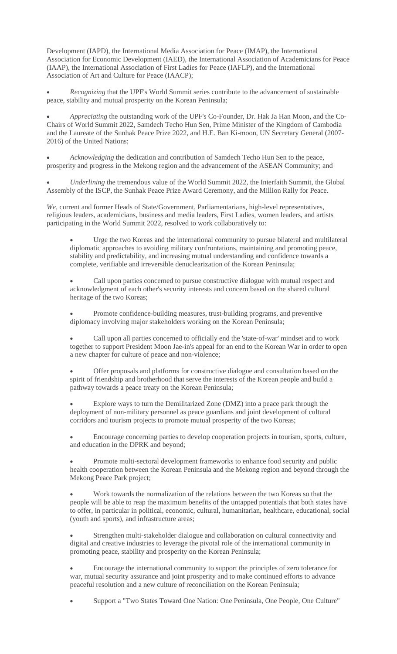Development (IAPD), the International Media Association for Peace (IMAP), the International Association for Economic Development (IAED), the International Association of Academicians for Peace (IAAP), the International Association of First Ladies for Peace (IAFLP), and the International Association of Art and Culture for Peace (IAACP);

• *Recognizing* that the UPF's World Summit series contribute to the advancement of sustainable peace, stability and mutual prosperity on the Korean Peninsula;

• *Appreciating* the outstanding work of the UPF's Co-Founder, Dr. Hak Ja Han Moon, and the Co-Chairs of World Summit 2022, Samdech Techo Hun Sen, Prime Minister of the Kingdom of Cambodia and the Laureate of the Sunhak Peace Prize 2022, and H.E. Ban Ki-moon, UN Secretary General (2007- 2016) of the United Nations;

• *Acknowledging* the dedication and contribution of Samdech Techo Hun Sen to the peace, prosperity and progress in the Mekong region and the advancement of the ASEAN Community; and

• *Underlining* the tremendous value of the World Summit 2022, the Interfaith Summit, the Global Assembly of the ISCP, the Sunhak Peace Prize Award Ceremony, and the Million Rally for Peace.

*We,* current and former Heads of State/Government, Parliamentarians, high-level representatives, religious leaders, academicians, business and media leaders, First Ladies, women leaders, and artists participating in the World Summit 2022, resolved to work collaboratively to:

• Urge the two Koreas and the international community to pursue bilateral and multilateral diplomatic approaches to avoiding military confrontations, maintaining and promoting peace, stability and predictability, and increasing mutual understanding and confidence towards a complete, verifiable and irreversible denuclearization of the Korean Peninsula;

• Call upon parties concerned to pursue constructive dialogue with mutual respect and acknowledgment of each other's security interests and concern based on the shared cultural heritage of the two Koreas;

• Promote confidence-building measures, trust-building programs, and preventive diplomacy involving major stakeholders working on the Korean Peninsula;

• Call upon all parties concerned to officially end the 'state-of-war' mindset and to work together to support President Moon Jae-in's appeal for an end to the Korean War in order to open a new chapter for culture of peace and non-violence;

• Offer proposals and platforms for constructive dialogue and consultation based on the spirit of friendship and brotherhood that serve the interests of the Korean people and build a pathway towards a peace treaty on the Korean Peninsula;

• Explore ways to turn the Demilitarized Zone (DMZ) into a peace park through the deployment of non-military personnel as peace guardians and joint development of cultural corridors and tourism projects to promote mutual prosperity of the two Koreas;

• Encourage concerning parties to develop cooperation projects in tourism, sports, culture, and education in the DPRK and beyond;

• Promote multi-sectoral development frameworks to enhance food security and public health cooperation between the Korean Peninsula and the Mekong region and beyond through the Mekong Peace Park project;

• Work towards the normalization of the relations between the two Koreas so that the people will be able to reap the maximum benefits of the untapped potentials that both states have to offer, in particular in political, economic, cultural, humanitarian, healthcare, educational, social (youth and sports), and infrastructure areas;

Strengthen multi-stakeholder dialogue and collaboration on cultural connectivity and digital and creative industries to leverage the pivotal role of the international community in promoting peace, stability and prosperity on the Korean Peninsula;

• Encourage the international community to support the principles of zero tolerance for war, mutual security assurance and joint prosperity and to make continued efforts to advance peaceful resolution and a new culture of reconciliation on the Korean Peninsula;

• Support a "Two States Toward One Nation: One Peninsula, One People, One Culture"